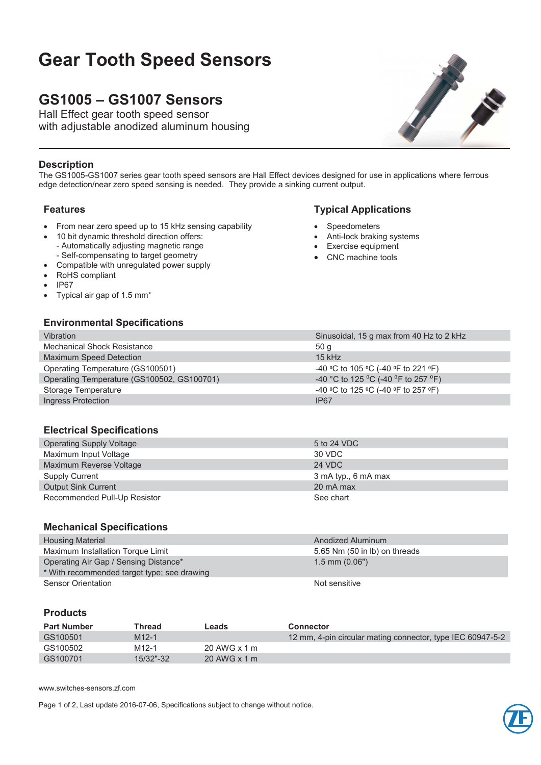# **Gear Tooth Speed Sensors**

## **GS1005 – GS1007 Sensors**

Hall Effect gear tooth speed sensor with adjustable anodized aluminum housing



#### **Description**

The GS1005-GS1007 series gear tooth speed sensors are Hall Effect devices designed for use in applications where ferrous edge detection/near zero speed sensing is needed. They provide a sinking current output.

- From near zero speed up to 15 kHz sensing capability
- 10 bit dynamic threshold direction offers: - Automatically adjusting magnetic range - Self-compensating to target geometry
- Compatible with unregulated power supply
- RoHS compliant
- x IP67
- Typical air gap of 1.5 mm<sup>\*</sup>

#### **Environmental Specifications**

# Vibration Sinusoidal, 15 g max from 40 Hz to 2 kHz Mechanical Shock Resistance 50 g

| Maximum Speed Detection                    | $15$ kHz                            |
|--------------------------------------------|-------------------------------------|
| Operating Temperature (GS100501)           | -40 °C to 105 °C (-40 °F to 221 °F) |
| Operating Temperature (GS100502, GS100701) | -40 °C to 125 °C (-40 °F to 257 °F) |
| Storage Temperature                        | -40 °C to 125 °C (-40 °F to 257 °F) |
| Ingress Protection                         | IP67                                |

#### **Electrical Specifications**

| <b>Operating Supply Voltage</b> | 5 to 24 VDC         |
|---------------------------------|---------------------|
| Maximum Input Voltage           | 30 VDC              |
| Maximum Reverse Voltage         | 24 VDC              |
| Supply Current                  | 3 mA typ., 6 mA max |
| <b>Output Sink Current</b>      | 20 mA max           |
| Recommended Pull-Up Resistor    | See chart           |

#### **Mechanical Specifications**

| <b>Housing Material</b>                                                              | Anodized Aluminum             |
|--------------------------------------------------------------------------------------|-------------------------------|
| Maximum Installation Torque Limit                                                    | 5.65 Nm (50 in lb) on threads |
| Operating Air Gap / Sensing Distance*<br>* With recommended target type; see drawing | $1.5$ mm $(0.06")$            |
| Sensor Orientation                                                                   | Not sensitive                 |

#### **Products**

| <b>Part Number</b> | Thread            | Leads        | Connector                                                  |
|--------------------|-------------------|--------------|------------------------------------------------------------|
| GS100501           | $M12-1$           |              | 12 mm, 4-pin circular mating connector, type IEC 60947-5-2 |
| GS100502           | M <sub>12-1</sub> | 20 AWG x 1 m |                                                            |
| GS100701           | 15/32"-32         | 20 AWG x 1 m |                                                            |

www.switches-sensors.zf.com

Page 1 of 2, Last update 2016-07-06, Specifications subject to change without notice.



### **Features Typical Applications**

- **Speedometers**
- Anti-lock braking systems
- Exercise equipment CNC machine tools